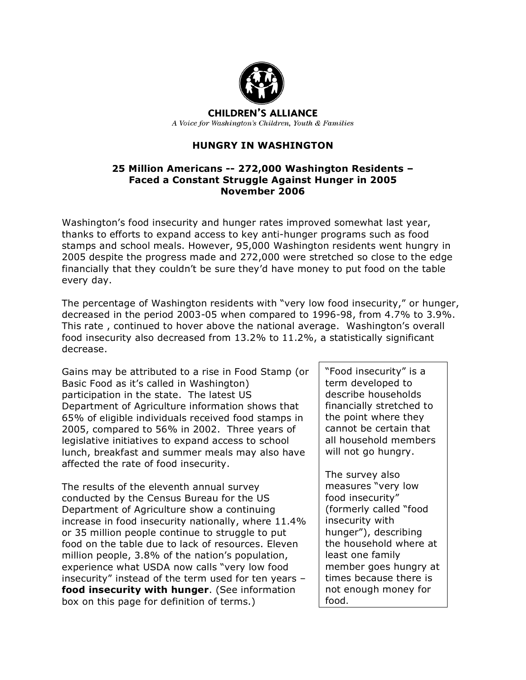

**CHILDREN'S ALLIANCE** A Voice for Washington's Children, Youth & Families

# **HUNGRY IN WASHINGTON**

#### **25 Million Americans -- 272,000 Washington Residents – Faced a Constant Struggle Against Hunger in 2005 November 2006**

Washington's food insecurity and hunger rates improved somewhat last year, thanks to efforts to expand access to key anti-hunger programs such as food stamps and school meals. However, 95,000 Washington residents went hungry in 2005 despite the progress made and 272,000 were stretched so close to the edge financially that they couldn't be sure they'd have money to put food on the table every day.

The percentage of Washington residents with "very low food insecurity," or hunger, decreased in the period 2003-05 when compared to 1996-98, from 4.7% to 3.9%. This rate , continued to hover above the national average. Washington's overall food insecurity also decreased from 13.2% to 11.2%, a statistically significant decrease.

Gains may be attributed to a rise in Food Stamp (or Basic Food as it's called in Washington) participation in the state. The latest US Department of Agriculture information shows that 65% of eligible individuals received food stamps in 2005, compared to 56% in 2002. Three years of legislative initiatives to expand access to school lunch, breakfast and summer meals may also have affected the rate of food insecurity.

The results of the eleventh annual survey conducted by the Census Bureau for the US Department of Agriculture show a continuing increase in food insecurity nationally, where 11.4% or 35 million people continue to struggle to put food on the table due to lack of resources. Eleven million people, 3.8% of the nation's population, experience what USDA now calls "very low food insecurity" instead of the term used for ten years – **food insecurity with hunger**. (See information box on this page for definition of terms.)

"Food insecurity" is a term developed to describe households financially stretched to the point where they cannot be certain that all household members will not go hungry.

The survey also measures "very low food insecurity" (formerly called "food insecurity with hunger"), describing the household where at least one family member goes hungry at times because there is not enough money for food.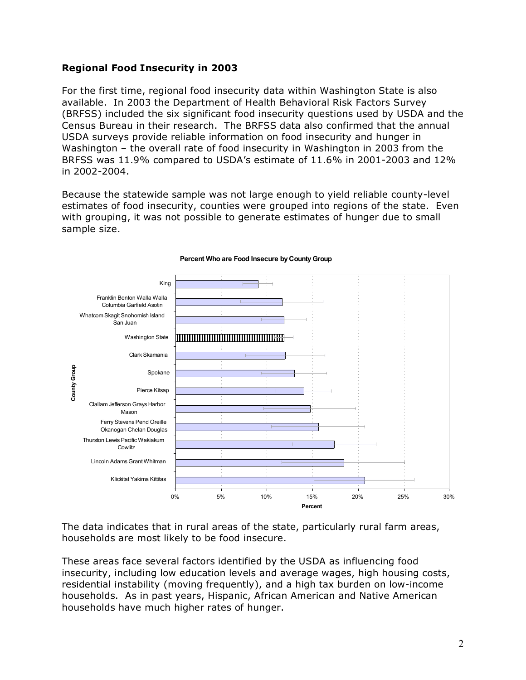## **Regional Food Insecurity in 2003**

For the first time, regional food insecurity data within Washington State is also available. In 2003 the Department of Health Behavioral Risk Factors Survey (BRFSS) included the six significant food insecurity questions used by USDA and the Census Bureau in their research. The BRFSS data also confirmed that the annual USDA surveys provide reliable information on food insecurity and hunger in Washington – the overall rate of food insecurity in Washington in 2003 from the BRFSS was 11.9% compared to USDA's estimate of 11.6% in 2001-2003 and 12% in 2002-2004.

Because the statewide sample was not large enough to yield reliable county-level estimates of food insecurity, counties were grouped into regions of the state. Even with grouping, it was not possible to generate estimates of hunger due to small sample size.



#### **Percent Who are Food Insecure by County Group**

The data indicates that in rural areas of the state, particularly rural farm areas, households are most likely to be food insecure.

These areas face several factors identified by the USDA as influencing food insecurity, including low education levels and average wages, high housing costs, residential instability (moving frequently), and a high tax burden on low-income households. As in past years, Hispanic, African American and Native American households have much higher rates of hunger.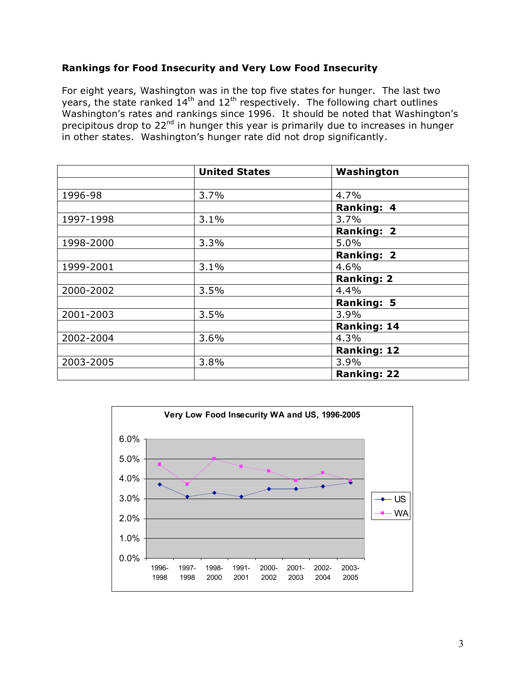## **Rankings for Food Insecurity and Very Low Food Insecurity**

For eight years, Washington was in the top five states for hunger. The last two years, the state ranked  $14<sup>th</sup>$  and  $12<sup>th</sup>$  respectively. The following chart outlines Washington's rates and rankings since 1996. It should be noted that Washington's precipitous drop to 22nd in hunger this year is primarily due to increases in hunger in other states. Washington's hunger rate did not drop significantly.

|           | <b>United States</b> | Washington         |
|-----------|----------------------|--------------------|
|           |                      |                    |
| 1996-98   | 3.7%                 | 4.7%               |
|           |                      | <b>Ranking: 4</b>  |
| 1997-1998 | 3.1%                 | 3.7%               |
|           |                      | <b>Ranking: 2</b>  |
| 1998-2000 | 3.3%                 | 5.0%               |
|           |                      | <b>Ranking: 2</b>  |
| 1999-2001 | 3.1%                 | 4.6%               |
|           |                      | <b>Ranking: 2</b>  |
| 2000-2002 | 3.5%                 | 4.4%               |
|           |                      | <b>Ranking: 5</b>  |
| 2001-2003 | 3.5%                 | 3.9%               |
|           |                      | <b>Ranking: 14</b> |
| 2002-2004 | 3.6%                 | 4.3%               |
|           |                      | <b>Ranking: 12</b> |
| 2003-2005 | 3.8%                 | 3.9%               |
|           |                      | <b>Ranking: 22</b> |

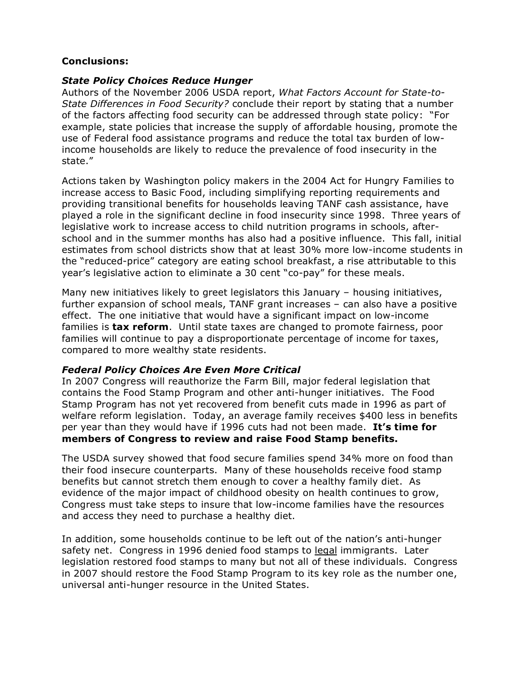#### **Conclusions:**

#### *State Policy Choices Reduce Hunger*

Authors of the November 2006 USDA report, *What Factors Account for State-to-State Differences in Food Security?* conclude their report by stating that a number of the factors affecting food security can be addressed through state policy: "For example, state policies that increase the supply of affordable housing, promote the use of Federal food assistance programs and reduce the total tax burden of lowincome households are likely to reduce the prevalence of food insecurity in the state."

Actions taken by Washington policy makers in the 2004 Act for Hungry Families to increase access to Basic Food, including simplifying reporting requirements and providing transitional benefits for households leaving TANF cash assistance, have played a role in the significant decline in food insecurity since 1998. Three years of legislative work to increase access to child nutrition programs in schools, afterschool and in the summer months has also had a positive influence. This fall, initial estimates from school districts show that at least 30% more low-income students in the "reduced-price" category are eating school breakfast, a rise attributable to this year's legislative action to eliminate a 30 cent "co-pay" for these meals.

Many new initiatives likely to greet legislators this January – housing initiatives, further expansion of school meals, TANF grant increases – can also have a positive effect. The one initiative that would have a significant impact on low-income families is **tax reform**. Until state taxes are changed to promote fairness, poor families will continue to pay a disproportionate percentage of income for taxes, compared to more wealthy state residents.

#### *Federal Policy Choices Are Even More Critical*

In 2007 Congress will reauthorize the Farm Bill, major federal legislation that contains the Food Stamp Program and other anti-hunger initiatives. The Food Stamp Program has not yet recovered from benefit cuts made in 1996 as part of welfare reform legislation. Today, an average family receives \$400 less in benefits per year than they would have if 1996 cuts had not been made. **It's time for members of Congress to review and raise Food Stamp benefits.**

The USDA survey showed that food secure families spend 34% more on food than their food insecure counterparts. Many of these households receive food stamp benefits but cannot stretch them enough to cover a healthy family diet. As evidence of the major impact of childhood obesity on health continues to grow, Congress must take steps to insure that low-income families have the resources and access they need to purchase a healthy diet.

In addition, some households continue to be left out of the nation's anti-hunger safety net. Congress in 1996 denied food stamps to legal immigrants. Later legislation restored food stamps to many but not all of these individuals. Congress in 2007 should restore the Food Stamp Program to its key role as the number one, universal anti-hunger resource in the United States.